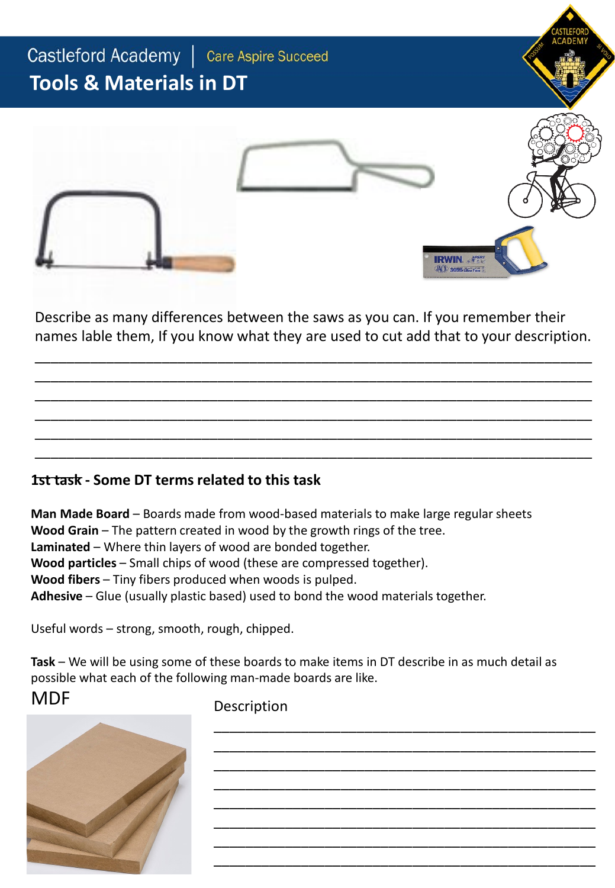

Describe as many differences between the saws as you can. If you remember their names lable them, If you know what they are used to cut add that to your description.

\_\_\_\_\_\_\_\_\_\_\_\_\_\_\_\_\_\_\_\_\_\_\_\_\_\_\_\_\_\_\_\_\_\_\_\_\_\_\_\_\_\_\_\_\_\_\_\_\_\_\_\_\_\_\_\_\_\_\_\_\_\_\_\_\_\_\_\_\_\_ \_\_\_\_\_\_\_\_\_\_\_\_\_\_\_\_\_\_\_\_\_\_\_\_\_\_\_\_\_\_\_\_\_\_\_\_\_\_\_\_\_\_\_\_\_\_\_\_\_\_\_\_\_\_\_\_\_\_\_\_\_\_\_\_\_\_\_\_\_\_ \_\_\_\_\_\_\_\_\_\_\_\_\_\_\_\_\_\_\_\_\_\_\_\_\_\_\_\_\_\_\_\_\_\_\_\_\_\_\_\_\_\_\_\_\_\_\_\_\_\_\_\_\_\_\_\_\_\_\_\_\_\_\_\_\_\_\_\_\_\_ \_\_\_\_\_\_\_\_\_\_\_\_\_\_\_\_\_\_\_\_\_\_\_\_\_\_\_\_\_\_\_\_\_\_\_\_\_\_\_\_\_\_\_\_\_\_\_\_\_\_\_\_\_\_\_\_\_\_\_\_\_\_\_\_\_\_\_\_\_\_ \_\_\_\_\_\_\_\_\_\_\_\_\_\_\_\_\_\_\_\_\_\_\_\_\_\_\_\_\_\_\_\_\_\_\_\_\_\_\_\_\_\_\_\_\_\_\_\_\_\_\_\_\_\_\_\_\_\_\_\_\_\_\_\_\_\_\_\_\_\_ \_\_\_\_\_\_\_\_\_\_\_\_\_\_\_\_\_\_\_\_\_\_\_\_\_\_\_\_\_\_\_\_\_\_\_\_\_\_\_\_\_\_\_\_\_\_\_\_\_\_\_\_\_\_\_\_\_\_\_\_\_\_\_\_\_\_\_\_\_\_

#### \_\_\_\_\_\_ **1st task - Some DT terms related to this task**

**Man Made Board** – Boards made from wood-based materials to make large regular sheets **Wood Grain** – The pattern created in wood by the growth rings of the tree. **Laminated** – Where thin layers of wood are bonded together. **Wood particles** – Small chips of wood (these are compressed together). **Wood fibers** – Tiny fibers produced when woods is pulped. **Adhesive** – Glue (usually plastic based) used to bond the wood materials together.

Useful words – strong, smooth, rough, chipped.

**Task** – We will be using some of these boards to make items in DT describe in as much detail as possible what each of the following man-made boards are like.

### MDF

Description

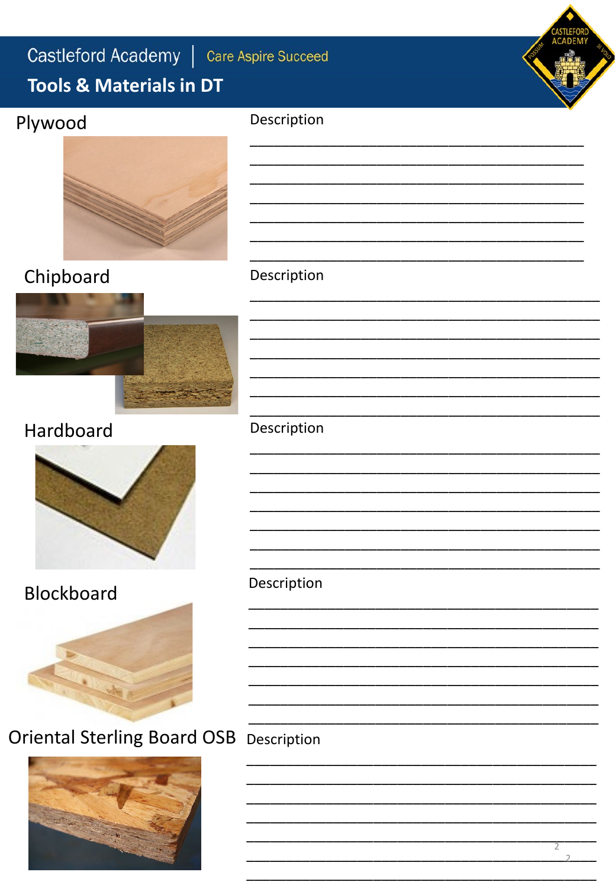Description

## **Tools & Materials in DT**

## Plywood



# Chipboard





## Hardboard



### **Blockboard**



# **Oriental Sterling Board OSB** Description



#### Description

Description